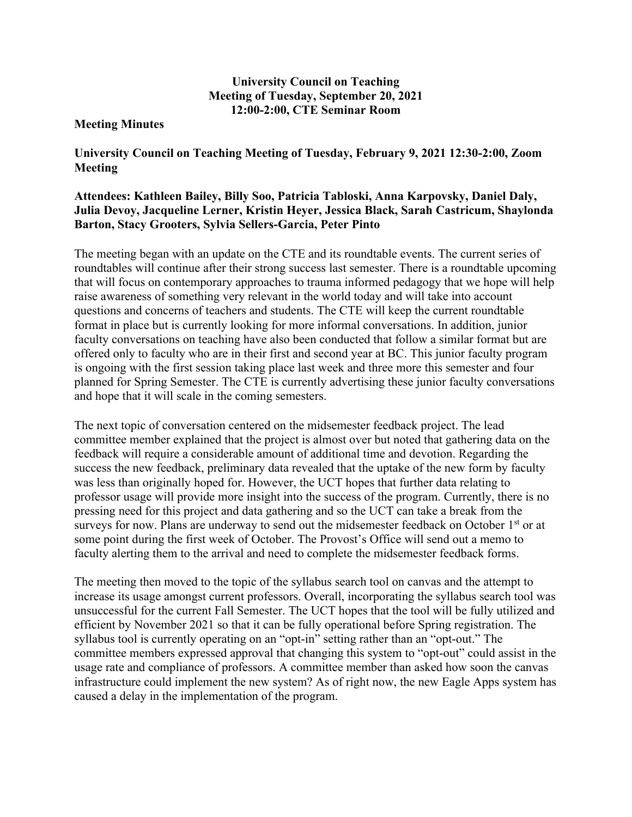## **University Council on Teaching Meeting of Tuesday, September 20, 2021 12:00-2:00, CTE Seminar Room**

## **Meeting Minutes**

**University Council on Teaching Meeting of Tuesday, February 9, 2021 12:30-2:00, Zoom Meeting** 

## **Attendees: Kathleen Bailey, Billy Soo, Patricia Tabloski, Anna Karpovsky, Daniel Daly, Julia Devoy, Jacqueline Lerner, Kristin Heyer, Jessica Black, Sarah Castricum, Shaylonda Barton, Stacy Grooters, Sylvia Sellers-Garcia, Peter Pinto**

The meeting began with an update on the CTE and its roundtable events. The current series of roundtables will continue after their strong success last semester. There is a roundtable upcoming that will focus on contemporary approaches to trauma informed pedagogy that we hope will help raise awareness of something very relevant in the world today and will take into account questions and concerns of teachers and students. The CTE will keep the current roundtable format in place but is currently looking for more informal conversations. In addition, junior faculty conversations on teaching have also been conducted that follow a similar format but are offered only to faculty who are in their first and second year at BC. This junior faculty program is ongoing with the first session taking place last week and three more this semester and four planned for Spring Semester. The CTE is currently advertising these junior faculty conversations and hope that it will scale in the coming semesters.

The next topic of conversation centered on the midsemester feedback project. The lead committee member explained that the project is almost over but noted that gathering data on the feedback will require a considerable amount of additional time and devotion. Regarding the success the new feedback, preliminary data revealed that the uptake of the new form by faculty was less than originally hoped for. However, the UCT hopes that further data relating to professor usage will provide more insight into the success of the program. Currently, there is no pressing need for this project and data gathering and so the UCT can take a break from the surveys for now. Plans are underway to send out the midsemester feedback on October 1<sup>st</sup> or at some point during the first week of October. The Provost's Office will send out a memo to faculty alerting them to the arrival and need to complete the midsemester feedback forms.

The meeting then moved to the topic of the syllabus search tool on canvas and the attempt to increase its usage amongst current professors. Overall, incorporating the syllabus search tool was unsuccessful for the current Fall Semester. The UCT hopes that the tool will be fully utilized and efficient by November 2021 so that it can be fully operational before Spring registration. The syllabus tool is currently operating on an "opt-in" setting rather than an "opt-out." The committee members expressed approval that changing this system to "opt-out" could assist in the usage rate and compliance of professors. A committee member than asked how soon the canvas infrastructure could implement the new system? As of right now, the new Eagle Apps system has caused a delay in the implementation of the program.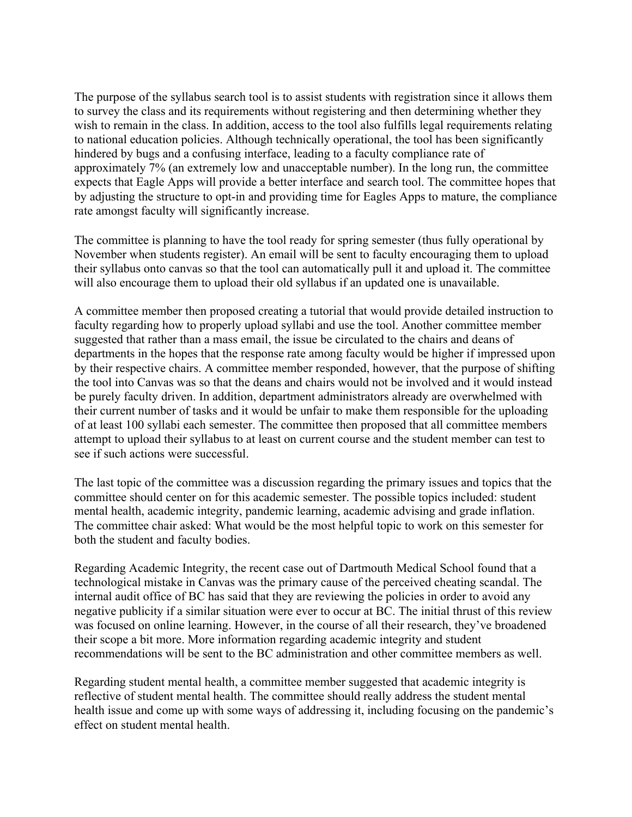The purpose of the syllabus search tool is to assist students with registration since it allows them to survey the class and its requirements without registering and then determining whether they wish to remain in the class. In addition, access to the tool also fulfills legal requirements relating to national education policies. Although technically operational, the tool has been significantly hindered by bugs and a confusing interface, leading to a faculty compliance rate of approximately 7% (an extremely low and unacceptable number). In the long run, the committee expects that Eagle Apps will provide a better interface and search tool. The committee hopes that by adjusting the structure to opt-in and providing time for Eagles Apps to mature, the compliance rate amongst faculty will significantly increase.

The committee is planning to have the tool ready for spring semester (thus fully operational by November when students register). An email will be sent to faculty encouraging them to upload their syllabus onto canvas so that the tool can automatically pull it and upload it. The committee will also encourage them to upload their old syllabus if an updated one is unavailable.

A committee member then proposed creating a tutorial that would provide detailed instruction to faculty regarding how to properly upload syllabi and use the tool. Another committee member suggested that rather than a mass email, the issue be circulated to the chairs and deans of departments in the hopes that the response rate among faculty would be higher if impressed upon by their respective chairs. A committee member responded, however, that the purpose of shifting the tool into Canvas was so that the deans and chairs would not be involved and it would instead be purely faculty driven. In addition, department administrators already are overwhelmed with their current number of tasks and it would be unfair to make them responsible for the uploading of at least 100 syllabi each semester. The committee then proposed that all committee members attempt to upload their syllabus to at least on current course and the student member can test to see if such actions were successful.

The last topic of the committee was a discussion regarding the primary issues and topics that the committee should center on for this academic semester. The possible topics included: student mental health, academic integrity, pandemic learning, academic advising and grade inflation. The committee chair asked: What would be the most helpful topic to work on this semester for both the student and faculty bodies.

Regarding Academic Integrity, the recent case out of Dartmouth Medical School found that a technological mistake in Canvas was the primary cause of the perceived cheating scandal. The internal audit office of BC has said that they are reviewing the policies in order to avoid any negative publicity if a similar situation were ever to occur at BC. The initial thrust of this review was focused on online learning. However, in the course of all their research, they've broadened their scope a bit more. More information regarding academic integrity and student recommendations will be sent to the BC administration and other committee members as well.

Regarding student mental health, a committee member suggested that academic integrity is reflective of student mental health. The committee should really address the student mental health issue and come up with some ways of addressing it, including focusing on the pandemic's effect on student mental health.